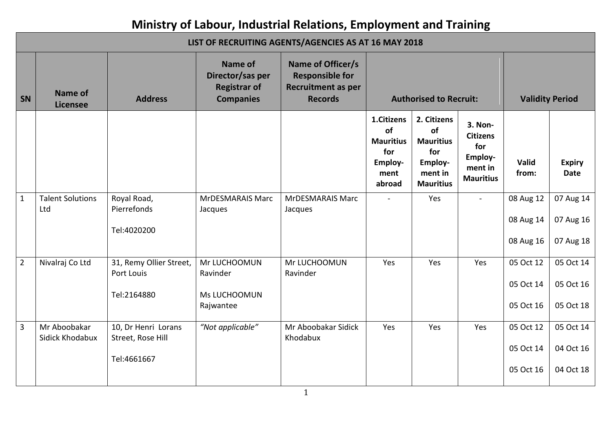## **Ministry of Labour, Industrial Relations, Employment and Training**

|                | LIST OF RECRUITING AGENTS/AGENCIES AS AT 16 MAY 2018 |                                                         |                                                                               |                                                                                            |                                                                          |                                                                                        |                                                                             |                                     |                                     |  |  |
|----------------|------------------------------------------------------|---------------------------------------------------------|-------------------------------------------------------------------------------|--------------------------------------------------------------------------------------------|--------------------------------------------------------------------------|----------------------------------------------------------------------------------------|-----------------------------------------------------------------------------|-------------------------------------|-------------------------------------|--|--|
| SN             | <b>Name of</b><br><b>Licensee</b>                    | <b>Address</b>                                          | <b>Name of</b><br>Director/sas per<br><b>Registrar of</b><br><b>Companies</b> | Name of Officer/s<br><b>Responsible for</b><br><b>Recruitment as per</b><br><b>Records</b> |                                                                          | <b>Authorised to Recruit:</b>                                                          |                                                                             | <b>Validity Period</b>              |                                     |  |  |
|                |                                                      |                                                         |                                                                               |                                                                                            | 1.Citizens<br>of<br><b>Mauritius</b><br>for<br>Employ-<br>ment<br>abroad | 2. Citizens<br>of<br><b>Mauritius</b><br>for<br>Employ-<br>ment in<br><b>Mauritius</b> | 3. Non-<br><b>Citizens</b><br>for<br>Employ-<br>ment in<br><b>Mauritius</b> | Valid<br>from:                      | <b>Expiry</b><br><b>Date</b>        |  |  |
| $\mathbf{1}$   | <b>Talent Solutions</b><br>Ltd                       | Royal Road,<br>Pierrefonds<br>Tel:4020200               | <b>MrDESMARAIS Marc</b><br>Jacques                                            | <b>MrDESMARAIS Marc</b><br>Jacques                                                         |                                                                          | Yes                                                                                    | $\sim$                                                                      | 08 Aug 12<br>08 Aug 14<br>08 Aug 16 | 07 Aug 14<br>07 Aug 16<br>07 Aug 18 |  |  |
| $\overline{2}$ | Nivalraj Co Ltd                                      | 31, Remy Ollier Street,<br>Port Louis<br>Tel:2164880    | Mr LUCHOOMUN<br>Ravinder<br>Ms LUCHOOMUN<br>Rajwantee                         | Mr LUCHOOMUN<br>Ravinder                                                                   | Yes                                                                      | Yes                                                                                    | Yes                                                                         | 05 Oct 12<br>05 Oct 14<br>05 Oct 16 | 05 Oct 14<br>05 Oct 16<br>05 Oct 18 |  |  |
| 3              | Mr Aboobakar<br>Sidick Khodabux                      | 10, Dr Henri Lorans<br>Street, Rose Hill<br>Tel:4661667 | "Not applicable"                                                              | Mr Aboobakar Sidick<br>Khodabux                                                            | Yes                                                                      | Yes                                                                                    | Yes                                                                         | 05 Oct 12<br>05 Oct 14<br>05 Oct 16 | 05 Oct 14<br>04 Oct 16<br>04 Oct 18 |  |  |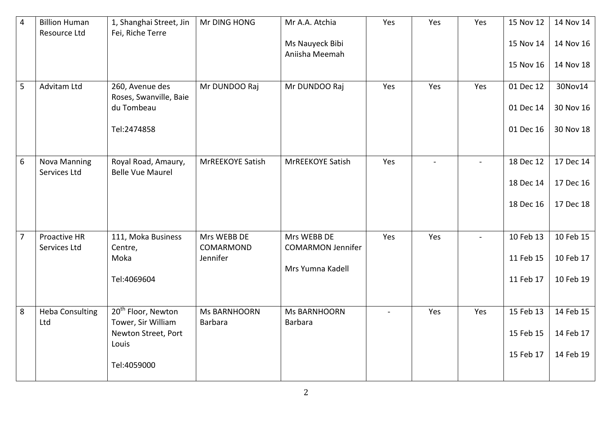| $\overline{4}$ | <b>Billion Human</b><br>Resource Ltd | 1, Shanghai Street, Jin<br>Fei, Riche Terre          | Mr DING HONG                   | Mr A.A. Atchia                          | Yes    | Yes | Yes            | 15 Nov 12 | 14 Nov 14 |
|----------------|--------------------------------------|------------------------------------------------------|--------------------------------|-----------------------------------------|--------|-----|----------------|-----------|-----------|
|                |                                      |                                                      |                                | Ms Nauyeck Bibi<br>Aniisha Meemah       |        |     |                | 15 Nov 14 | 14 Nov 16 |
|                |                                      |                                                      |                                |                                         |        |     |                | 15 Nov 16 | 14 Nov 18 |
| 5              | Advitam Ltd                          | 260, Avenue des<br>Roses, Swanville, Baie            | Mr DUNDOO Raj                  | Mr DUNDOO Raj                           | Yes    | Yes | Yes            | 01 Dec 12 | 30Nov14   |
|                |                                      | du Tombeau                                           |                                |                                         |        |     |                | 01 Dec 14 | 30 Nov 16 |
|                |                                      | Tel:2474858                                          |                                |                                         |        |     |                | 01 Dec 16 | 30 Nov 18 |
| 6              | <b>Nova Manning</b><br>Services Ltd  | Royal Road, Amaury,<br><b>Belle Vue Maurel</b>       | MrREEKOYE Satish               | MrREEKOYE Satish                        | Yes    |     |                | 18 Dec 12 | 17 Dec 14 |
|                |                                      |                                                      |                                |                                         |        |     |                | 18 Dec 14 | 17 Dec 16 |
|                |                                      |                                                      |                                |                                         |        |     |                | 18 Dec 16 | 17 Dec 18 |
| $\overline{7}$ | Proactive HR<br>Services Ltd         | 111, Moka Business<br>Centre,                        | Mrs WEBB DE<br>COMARMOND       | Mrs WEBB DE<br><b>COMARMON Jennifer</b> | Yes    | Yes | $\blacksquare$ | 10 Feb 13 | 10 Feb 15 |
|                |                                      | Moka                                                 | Jennifer                       | Mrs Yumna Kadell                        |        |     |                | 11 Feb 15 | 10 Feb 17 |
|                |                                      | Tel:4069604                                          |                                |                                         |        |     |                | 11 Feb 17 | 10 Feb 19 |
| 8              | <b>Heba Consulting</b><br>Ltd        | 20 <sup>th</sup> Floor, Newton<br>Tower, Sir William | <b>Ms BARNHOORN</b><br>Barbara | <b>Ms BARNHOORN</b><br>Barbara          | $\sim$ | Yes | Yes            | 15 Feb 13 | 14 Feb 15 |
|                |                                      | Newton Street, Port<br>Louis                         |                                |                                         |        |     |                | 15 Feb 15 | 14 Feb 17 |
|                |                                      | Tel:4059000                                          |                                |                                         |        |     |                | 15 Feb 17 | 14 Feb 19 |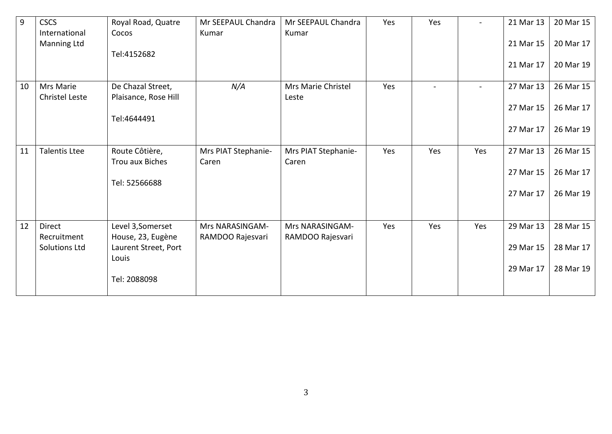| 9  | <b>CSCS</b><br>International        | Royal Road, Quatre<br>Cocos                        | Mr SEEPAUL Chandra<br>Kumar  | Mr SEEPAUL Chandra<br>Kumar  | Yes | Yes |     | 21 Mar 13 | 20 Mar 15 |
|----|-------------------------------------|----------------------------------------------------|------------------------------|------------------------------|-----|-----|-----|-----------|-----------|
|    | Manning Ltd                         | Tel:4152682                                        |                              |                              |     |     |     | 21 Mar 15 | 20 Mar 17 |
|    |                                     |                                                    |                              |                              |     |     |     | 21 Mar 17 | 20 Mar 19 |
| 10 | Mrs Marie<br>Christel Leste         | De Chazal Street,<br>Plaisance, Rose Hill          | N/A                          | Mrs Marie Christel<br>Leste  | Yes |     |     | 27 Mar 13 | 26 Mar 15 |
|    |                                     | Tel:4644491                                        |                              |                              |     |     |     | 27 Mar 15 | 26 Mar 17 |
|    |                                     |                                                    |                              |                              |     |     |     | 27 Mar 17 | 26 Mar 19 |
| 11 | <b>Talentis Ltee</b>                | Route Côtière,<br>Trou aux Biches                  | Mrs PIAT Stephanie-<br>Caren | Mrs PIAT Stephanie-<br>Caren | Yes | Yes | Yes | 27 Mar 13 | 26 Mar 15 |
|    |                                     |                                                    |                              |                              |     |     |     | 27 Mar 15 | 26 Mar 17 |
|    |                                     | Tel: 52566688                                      |                              |                              |     |     |     | 27 Mar 17 | 26 Mar 19 |
| 12 | <b>Direct</b>                       | Level 3, Somerset                                  | Mrs NARASINGAM-              | Mrs NARASINGAM-              | Yes | Yes | Yes | 29 Mar 13 | 28 Mar 15 |
|    | Recruitment<br><b>Solutions Ltd</b> | House, 23, Eugène<br>Laurent Street, Port<br>Louis | RAMDOO Rajesvari             | RAMDOO Rajesvari             |     |     |     | 29 Mar 15 | 28 Mar 17 |
|    |                                     | Tel: 2088098                                       |                              |                              |     |     |     | 29 Mar 17 | 28 Mar 19 |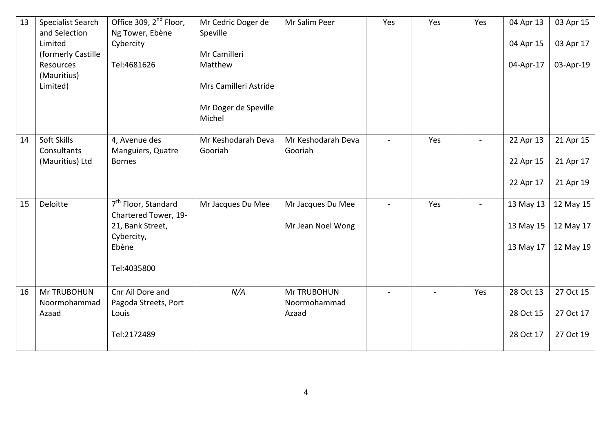| 13 | <b>Specialist Search</b>       | Office 309, 2 <sup>nd</sup> Floor,                      | Mr Cedric Doger de             | Mr Salim Peer         | Yes            | Yes    | Yes | 04 Apr 13 | 03 Apr 15 |
|----|--------------------------------|---------------------------------------------------------|--------------------------------|-----------------------|----------------|--------|-----|-----------|-----------|
|    | and Selection                  | Ng Tower, Ebène                                         | Speville                       |                       |                |        |     |           |           |
|    | Limited<br>(formerly Castille  | Cybercity                                               | Mr Camilleri                   |                       |                |        |     | 04 Apr 15 | 03 Apr 17 |
|    | Resources                      | Tel:4681626                                             | Matthew                        |                       |                |        |     | 04-Apr-17 | 03-Apr-19 |
|    | (Mauritius)                    |                                                         |                                |                       |                |        |     |           |           |
|    | Limited)                       |                                                         | Mrs Camilleri Astride          |                       |                |        |     |           |           |
|    |                                |                                                         | Mr Doger de Speville<br>Michel |                       |                |        |     |           |           |
| 14 | Soft Skills                    | 4, Avenue des                                           | Mr Keshodarah Deva             | Mr Keshodarah Deva    | $\sim$         | Yes    |     | 22 Apr 13 | 21 Apr 15 |
|    | Consultants<br>(Mauritius) Ltd | Manguiers, Quatre<br><b>Bornes</b>                      | Gooriah                        | Gooriah               |                |        |     | 22 Apr 15 | 21 Apr 17 |
|    |                                |                                                         |                                |                       |                |        |     | 22 Apr 17 | 21 Apr 19 |
| 15 | <b>Deloitte</b>                | 7 <sup>th</sup> Floor, Standard<br>Chartered Tower, 19- | Mr Jacques Du Mee              | Mr Jacques Du Mee     | $\blacksquare$ | Yes    |     | 13 May 13 | 12 May 15 |
|    |                                | 21, Bank Street,<br>Cybercity,                          |                                | Mr Jean Noel Wong     |                |        |     | 13 May 15 | 12 May 17 |
|    |                                | Ebène                                                   |                                |                       |                |        |     | 13 May 17 | 12 May 19 |
|    |                                | Tel:4035800                                             |                                |                       |                |        |     |           |           |
| 16 | Mr TRUBOHUN                    | Cnr Ail Dore and                                        | N/A                            | Mr TRUBOHUN           |                | $\sim$ | Yes | 28 Oct 13 | 27 Oct 15 |
|    | Noormohammad<br>Azaad          | Pagoda Streets, Port<br>Louis                           |                                | Noormohammad<br>Azaad |                |        |     | 28 Oct 15 | 27 Oct 17 |
|    |                                | Tel:2172489                                             |                                |                       |                |        |     | 28 Oct 17 | 27 Oct 19 |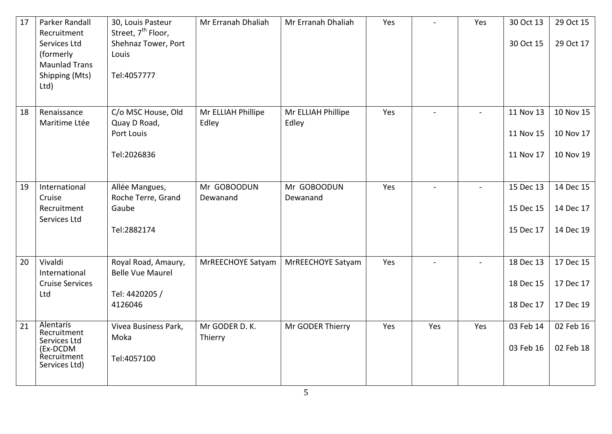| 17 | Parker Randall<br>Recruitment           | 30, Louis Pasteur<br>Street, 7 <sup>th</sup> Floor, | Mr Erranah Dhaliah | Mr Erranah Dhaliah | Yes |     | Yes            | 30 Oct 13 | 29 Oct 15 |
|----|-----------------------------------------|-----------------------------------------------------|--------------------|--------------------|-----|-----|----------------|-----------|-----------|
|    | Services Ltd                            | Shehnaz Tower, Port                                 |                    |                    |     |     |                | 30 Oct 15 | 29 Oct 17 |
|    | (formerly<br><b>Maunlad Trans</b>       | Louis                                               |                    |                    |     |     |                |           |           |
|    | Shipping (Mts)                          | Tel:4057777                                         |                    |                    |     |     |                |           |           |
|    | Ltd)                                    |                                                     |                    |                    |     |     |                |           |           |
| 18 | Renaissance                             | C/o MSC House, Old                                  | Mr ELLIAH Phillipe | Mr ELLIAH Phillipe | Yes |     | $\blacksquare$ | 11 Nov 13 | 10 Nov 15 |
|    | Maritime Ltée                           | Quay D Road,                                        | Edley              | Edley              |     |     |                |           |           |
|    |                                         | Port Louis                                          |                    |                    |     |     |                | 11 Nov 15 | 10 Nov 17 |
|    |                                         | Tel:2026836                                         |                    |                    |     |     |                | 11 Nov 17 | 10 Nov 19 |
|    |                                         |                                                     |                    |                    |     |     |                |           |           |
| 19 | International                           | Allée Mangues,                                      | Mr GOBOODUN        | Mr GOBOODUN        | Yes |     |                | 15 Dec 13 | 14 Dec 15 |
|    | Cruise                                  | Roche Terre, Grand                                  | Dewanand           | Dewanand           |     |     |                |           |           |
|    | Recruitment<br>Services Ltd             | Gaube                                               |                    |                    |     |     |                | 15 Dec 15 | 14 Dec 17 |
|    |                                         | Tel:2882174                                         |                    |                    |     |     |                | 15 Dec 17 | 14 Dec 19 |
|    |                                         |                                                     |                    |                    |     |     |                |           |           |
| 20 | Vivaldi                                 | Royal Road, Amaury,                                 | MrREECHOYE Satyam  | MrREECHOYE Satyam  | Yes |     |                | 18 Dec 13 | 17 Dec 15 |
|    | International<br><b>Cruise Services</b> | <b>Belle Vue Maurel</b>                             |                    |                    |     |     |                | 18 Dec 15 | 17 Dec 17 |
|    | Ltd                                     | Tel: 4420205 /                                      |                    |                    |     |     |                |           |           |
|    |                                         | 4126046                                             |                    |                    |     |     |                | 18 Dec 17 | 17 Dec 19 |
| 21 | Alentaris<br>Recruitment                | Vivea Business Park,                                | Mr GODER D. K.     | Mr GODER Thierry   | Yes | Yes | Yes            | 03 Feb 14 | 02 Feb 16 |
|    | Services Ltd<br>(Ex-DCDM                | Moka                                                | Thierry            |                    |     |     |                | 03 Feb 16 | 02 Feb 18 |
|    | Recruitment<br>Services Ltd)            | Tel:4057100                                         |                    |                    |     |     |                |           |           |
|    |                                         |                                                     |                    |                    |     |     |                |           |           |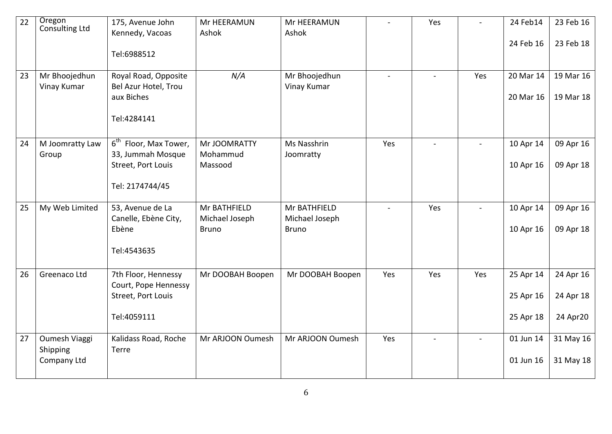| 22 | Oregon<br>Consulting Ltd                 | 175, Avenue John<br>Kennedy, Vacoas<br>Tel:6988512                                              | Mr HEERAMUN<br>Ashok                           | Mr HEERAMUN<br>Ashok                           |                | Yes |              | 24 Feb14<br>24 Feb 16               | 23 Feb 16<br>23 Feb 18             |
|----|------------------------------------------|-------------------------------------------------------------------------------------------------|------------------------------------------------|------------------------------------------------|----------------|-----|--------------|-------------------------------------|------------------------------------|
| 23 | Mr Bhoojedhun<br>Vinay Kumar             | Royal Road, Opposite<br>Bel Azur Hotel, Trou<br>aux Biches<br>Tel:4284141                       | N/A                                            | Mr Bhoojedhun<br>Vinay Kumar                   | $\blacksquare$ |     | Yes          | 20 Mar 14<br>20 Mar 16              | 19 Mar 16<br>19 Mar 18             |
| 24 | M Joomratty Law<br>Group                 | 6 <sup>th</sup> Floor, Max Tower,<br>33, Jummah Mosque<br>Street, Port Louis<br>Tel: 2174744/45 | Mr JOOMRATTY<br>Mohammud<br>Massood            | Ms Nasshrin<br>Joomratty                       | Yes            |     | $\mathbf{r}$ | 10 Apr 14<br>10 Apr 16              | 09 Apr 16<br>09 Apr 18             |
| 25 | My Web Limited                           | 53, Avenue de La<br>Canelle, Ebène City,<br>Ebène<br>Tel:4543635                                | Mr BATHFIELD<br>Michael Joseph<br><b>Bruno</b> | Mr BATHFIELD<br>Michael Joseph<br><b>Bruno</b> | $\overline{a}$ | Yes | $\mathbf{r}$ | 10 Apr 14<br>10 Apr 16              | 09 Apr 16<br>09 Apr 18             |
| 26 | Greenaco Ltd                             | 7th Floor, Hennessy<br>Court, Pope Hennessy<br>Street, Port Louis<br>Tel:4059111                | Mr DOOBAH Boopen                               | Mr DOOBAH Boopen                               | Yes            | Yes | Yes          | 25 Apr 14<br>25 Apr 16<br>25 Apr 18 | 24 Apr 16<br>24 Apr 18<br>24 Apr20 |
| 27 | Oumesh Viaggi<br>Shipping<br>Company Ltd | Kalidass Road, Roche<br>Terre                                                                   | Mr ARJOON Oumesh                               | Mr ARJOON Oumesh                               | Yes            |     | $\sim$       | 01 Jun 14<br>01 Jun 16              | 31 May 16<br>31 May 18             |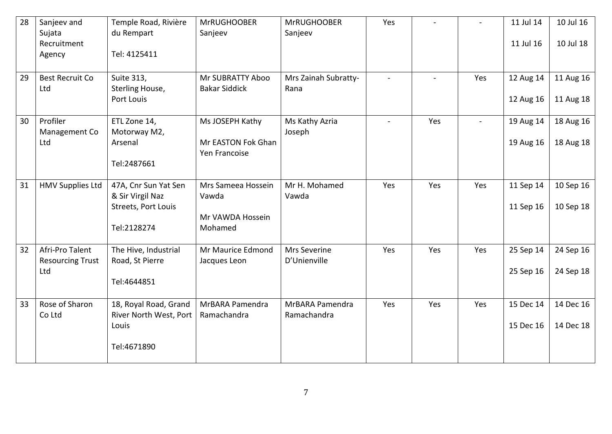| 28 | Sanjeev and<br>Sujata<br>Recruitment<br>Agency    | Temple Road, Rivière<br>du Rempart<br>Tel: 4125411                             | <b>MrRUGHOOBER</b><br>Sanjeev                              | <b>MrRUGHOOBER</b><br>Sanjeev       | Yes            |              |     | 11 Jul 14<br>11 Jul 16 | 10 Jul 16<br>10 Jul 18 |
|----|---------------------------------------------------|--------------------------------------------------------------------------------|------------------------------------------------------------|-------------------------------------|----------------|--------------|-----|------------------------|------------------------|
| 29 | <b>Best Recruit Co</b><br>Ltd                     | Suite 313,<br>Sterling House,<br>Port Louis                                    | Mr SUBRATTY Aboo<br><b>Bakar Siddick</b>                   | Mrs Zainah Subratty-<br>Rana        | $\mathbb{Z}^2$ | $\mathbf{r}$ | Yes | 12 Aug 14<br>12 Aug 16 | 11 Aug 16<br>11 Aug 18 |
| 30 | Profiler<br>Management Co<br>Ltd                  | ETL Zone 14,<br>Motorway M2,<br>Arsenal<br>Tel:2487661                         | Ms JOSEPH Kathy<br>Mr EASTON Fok Ghan<br>Yen Francoise     | Ms Kathy Azria<br>Joseph            |                | Yes          |     | 19 Aug 14<br>19 Aug 16 | 18 Aug 16<br>18 Aug 18 |
| 31 | <b>HMV Supplies Ltd</b>                           | 47A, Cnr Sun Yat Sen<br>& Sir Virgil Naz<br>Streets, Port Louis<br>Tel:2128274 | Mrs Sameea Hossein<br>Vawda<br>Mr VAWDA Hossein<br>Mohamed | Mr H. Mohamed<br>Vawda              | Yes            | Yes          | Yes | 11 Sep 14<br>11 Sep 16 | 10 Sep 16<br>10 Sep 18 |
| 32 | Afri-Pro Talent<br><b>Resourcing Trust</b><br>Ltd | The Hive, Industrial<br>Road, St Pierre<br>Tel:4644851                         | Mr Maurice Edmond<br>Jacques Leon                          | <b>Mrs Severine</b><br>D'Unienville | Yes            | Yes          | Yes | 25 Sep 14<br>25 Sep 16 | 24 Sep 16<br>24 Sep 18 |
| 33 | Rose of Sharon<br>Co Ltd                          | 18, Royal Road, Grand<br>River North West, Port<br>Louis<br>Tel:4671890        | MrBARA Pamendra<br>Ramachandra                             | MrBARA Pamendra<br>Ramachandra      | Yes            | Yes          | Yes | 15 Dec 14<br>15 Dec 16 | 14 Dec 16<br>14 Dec 18 |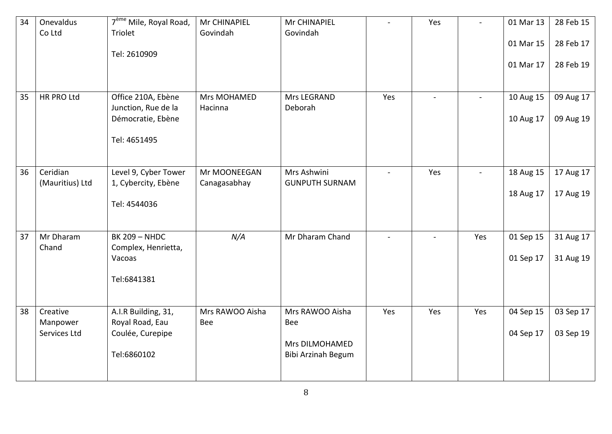| 34 | Onevaldus<br>Co Ltd                  | 7 <sup>ème</sup> Mile, Royal Road,<br>Triolet<br>Tel: 2610909                  | Mr CHINAPIEL<br>Govindah     | Mr CHINAPIEL<br>Govindah                                              | $\blacksquare$ | Yes | ÷.             | 01 Mar 13<br>01 Mar 15<br>01 Mar 17 | 28 Feb 15<br>28 Feb 17<br>28 Feb 19 |
|----|--------------------------------------|--------------------------------------------------------------------------------|------------------------------|-----------------------------------------------------------------------|----------------|-----|----------------|-------------------------------------|-------------------------------------|
| 35 | HR PRO Ltd                           | Office 210A, Ebène<br>Junction, Rue de la<br>Démocratie, Ebène<br>Tel: 4651495 | Mrs MOHAMED<br>Hacinna       | Mrs LEGRAND<br>Deborah                                                | Yes            |     | $\blacksquare$ | 10 Aug 15<br>10 Aug 17              | 09 Aug 17<br>09 Aug 19              |
| 36 | Ceridian<br>(Mauritius) Ltd          | Level 9, Cyber Tower<br>1, Cybercity, Ebène<br>Tel: 4544036                    | Mr MOONEEGAN<br>Canagasabhay | Mrs Ashwini<br><b>GUNPUTH SURNAM</b>                                  | $\overline{a}$ | Yes |                | 18 Aug 15<br>18 Aug 17              | 17 Aug 17<br>17 Aug 19              |
| 37 | Mr Dharam<br>Chand                   | <b>BK 209 - NHDC</b><br>Complex, Henrietta,<br>Vacoas<br>Tel:6841381           | N/A                          | Mr Dharam Chand                                                       | $\sim$         |     | Yes            | 01 Sep 15<br>01 Sep 17              | 31 Aug 17<br>31 Aug 19              |
| 38 | Creative<br>Manpower<br>Services Ltd | A.I.R Building, 31,<br>Royal Road, Eau<br>Coulée, Curepipe<br>Tel:6860102      | Mrs RAWOO Aisha<br>Bee       | Mrs RAWOO Aisha<br>Bee<br><b>Mrs DILMOHAMED</b><br>Bibi Arzinah Begum | Yes            | Yes | Yes            | 04 Sep 15<br>04 Sep 17              | 03 Sep 17<br>03 Sep 19              |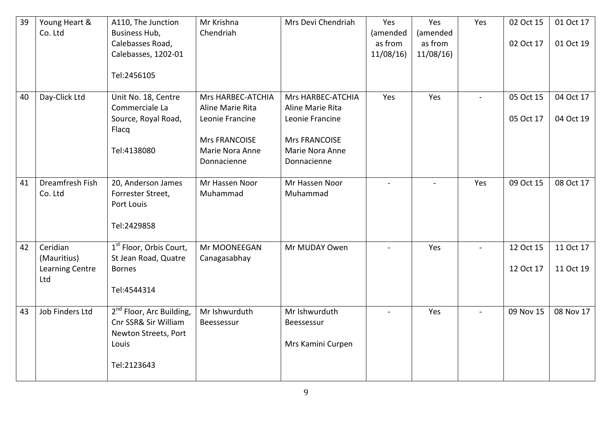| 39 | Young Heart &<br>Co. Ltd   | A110, The Junction<br>Business Hub,                                                  | Mr Krishna<br>Chendriah                 | Mrs Devi Chendriah                    | Yes<br>(amended     | Yes<br>(amended     | Yes          | 02 Oct 15 | 01 Oct 17 |
|----|----------------------------|--------------------------------------------------------------------------------------|-----------------------------------------|---------------------------------------|---------------------|---------------------|--------------|-----------|-----------|
|    |                            | Calebasses Road,<br>Calebasses, 1202-01                                              |                                         |                                       | as from<br>11/08/16 | as from<br>11/08/16 |              | 02 Oct 17 | 01 Oct 19 |
|    |                            | Tel:2456105                                                                          |                                         |                                       |                     |                     |              |           |           |
| 40 | Day-Click Ltd              | Unit No. 18, Centre<br>Commerciale La                                                | Mrs HARBEC-ATCHIA<br>Aline Marie Rita   | Mrs HARBEC-ATCHIA<br>Aline Marie Rita | Yes                 | Yes                 | $\mathbf{r}$ | 05 Oct 15 | 04 Oct 17 |
|    |                            | Source, Royal Road,<br>Flacq                                                         | Leonie Francine                         | Leonie Francine                       |                     |                     |              | 05 Oct 17 | 04 Oct 19 |
|    |                            | Tel:4138080                                                                          | <b>Mrs FRANCOISE</b><br>Marie Nora Anne | Mrs FRANCOISE<br>Marie Nora Anne      |                     |                     |              |           |           |
|    |                            |                                                                                      | Donnacienne                             | Donnacienne                           |                     |                     |              |           |           |
| 41 | Dreamfresh Fish<br>Co. Ltd | 20, Anderson James<br>Forrester Street,<br>Port Louis                                | Mr Hassen Noor<br>Muhammad              | Mr Hassen Noor<br>Muhammad            |                     |                     | Yes          | 09 Oct 15 | 08 Oct 17 |
|    |                            | Tel:2429858                                                                          |                                         |                                       |                     |                     |              |           |           |
| 42 | Ceridian<br>(Mauritius)    | 1 <sup>st</sup> Floor, Orbis Court,<br>St Jean Road, Quatre                          | Mr MOONEEGAN<br>Canagasabhay            | Mr MUDAY Owen                         | $\sim$              | Yes                 | $\mathbf{r}$ | 12 Oct 15 | 11 Oct 17 |
|    | Learning Centre<br>Ltd     | <b>Bornes</b>                                                                        |                                         |                                       |                     |                     |              | 12 Oct 17 | 11 Oct 19 |
|    |                            | Tel:4544314                                                                          |                                         |                                       |                     |                     |              |           |           |
| 43 | Job Finders Ltd            | 2 <sup>nd</sup> Floor, Arc Building,<br>Cnr SSR& Sir William<br>Newton Streets, Port | Mr Ishwurduth<br>Beessessur             | Mr Ishwurduth<br>Beessessur           |                     | Yes                 |              | 09 Nov 15 | 08 Nov 17 |
|    |                            | Louis                                                                                |                                         | Mrs Kamini Curpen                     |                     |                     |              |           |           |
|    |                            | Tel:2123643                                                                          |                                         |                                       |                     |                     |              |           |           |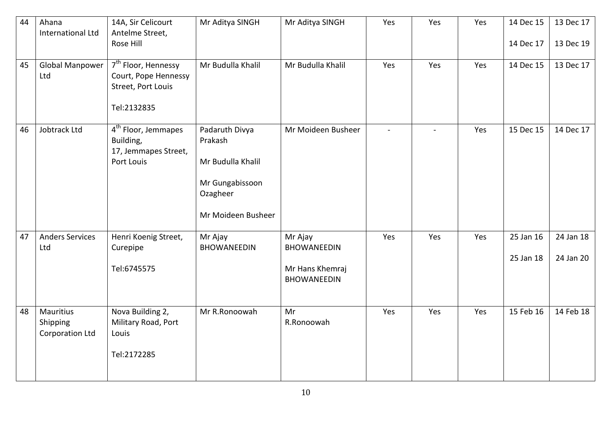| 44 | Ahana<br><b>International Ltd</b>               | 14A, Sir Celicourt<br>Antelme Street,<br>Rose Hill                                           | Mr Aditya SINGH                                                                                     | Mr Aditya SINGH                                                        | Yes          | Yes          | Yes | 14 Dec 15<br>14 Dec 17 | 13 Dec 17<br>13 Dec 19 |
|----|-------------------------------------------------|----------------------------------------------------------------------------------------------|-----------------------------------------------------------------------------------------------------|------------------------------------------------------------------------|--------------|--------------|-----|------------------------|------------------------|
| 45 | Global Manpower<br>Ltd                          | 7 <sup>th</sup> Floor, Hennessy<br>Court, Pope Hennessy<br>Street, Port Louis<br>Tel:2132835 | Mr Budulla Khalil                                                                                   | Mr Budulla Khalil                                                      | Yes          | Yes          | Yes | 14 Dec 15              | 13 Dec 17              |
| 46 | Jobtrack Ltd                                    | 4 <sup>th</sup> Floor, Jemmapes<br>Building,<br>17, Jemmapes Street,<br>Port Louis           | Padaruth Divya<br>Prakash<br>Mr Budulla Khalil<br>Mr Gungabissoon<br>Ozagheer<br>Mr Moideen Busheer | Mr Moideen Busheer                                                     | $\mathbf{r}$ | $\mathbf{r}$ | Yes | 15 Dec 15              | 14 Dec 17              |
| 47 | <b>Anders Services</b><br>Ltd                   | Henri Koenig Street,<br>Curepipe<br>Tel:6745575                                              | Mr Ajay<br><b>BHOWANEEDIN</b>                                                                       | Mr Ajay<br><b>BHOWANEEDIN</b><br>Mr Hans Khemraj<br><b>BHOWANEEDIN</b> | Yes          | Yes          | Yes | 25 Jan 16<br>25 Jan 18 | 24 Jan 18<br>24 Jan 20 |
| 48 | <b>Mauritius</b><br>Shipping<br>Corporation Ltd | Nova Building 2,<br>Military Road, Port<br>Louis<br>Tel:2172285                              | Mr R.Ronoowah                                                                                       | Mr<br>R.Ronoowah                                                       | Yes          | Yes          | Yes | 15 Feb 16              | 14 Feb 18              |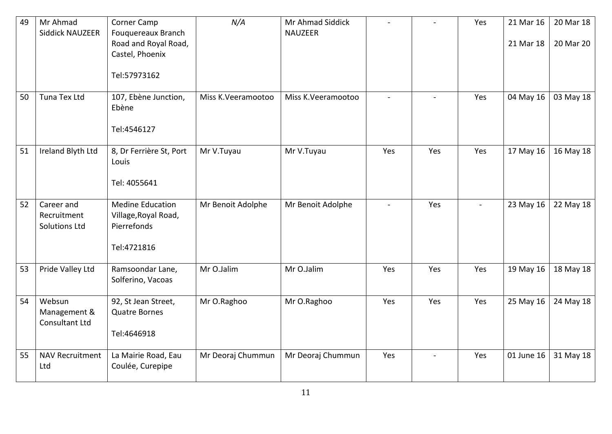| 49 | Mr Ahmad<br><b>Siddick NAUZEER</b>                | Corner Camp<br>Fouquereaux Branch<br>Road and Royal Road,<br>Castel, Phoenix<br>Tel:57973162 | N/A                | Mr Ahmad Siddick<br><b>NAUZEER</b> |                |              | Yes          | 21 Mar 16<br>21 Mar 18 | 20 Mar 18<br>20 Mar 20 |
|----|---------------------------------------------------|----------------------------------------------------------------------------------------------|--------------------|------------------------------------|----------------|--------------|--------------|------------------------|------------------------|
| 50 | Tuna Tex Ltd                                      | 107, Ebène Junction,<br>Ebène<br>Tel:4546127                                                 | Miss K.Veeramootoo | Miss K.Veeramootoo                 | $\overline{a}$ | $\mathbf{r}$ | Yes          | 04 May 16              | 03 May 18              |
| 51 | Ireland Blyth Ltd                                 | 8, Dr Ferrière St, Port<br>Louis<br>Tel: 4055641                                             | Mr V.Tuyau         | Mr V.Tuyau                         | Yes            | Yes          | Yes          | 17 May 16              | 16 May 18              |
| 52 | Career and<br>Recruitment<br><b>Solutions Ltd</b> | <b>Medine Education</b><br>Village, Royal Road,<br>Pierrefonds<br>Tel:4721816                | Mr Benoit Adolphe  | Mr Benoit Adolphe                  | $\sim$         | Yes          | $\mathbf{r}$ | 23 May 16              | 22 May 18              |
| 53 | Pride Valley Ltd                                  | Ramsoondar Lane,<br>Solferino, Vacoas                                                        | Mr O.Jalim         | Mr O.Jalim                         | Yes            | Yes          | Yes          | 19 May 16              | 18 May 18              |
| 54 | Websun<br>Management &<br>Consultant Ltd          | 92, St Jean Street,<br><b>Quatre Bornes</b><br>Tel:4646918                                   | Mr O.Raghoo        | Mr O.Raghoo                        | Yes            | Yes          | Yes          | 25 May 16              | 24 May 18              |
| 55 | <b>NAV Recruitment</b><br>Ltd                     | La Mairie Road, Eau<br>Coulée, Curepipe                                                      | Mr Deoraj Chummun  | Mr Deoraj Chummun                  | Yes            |              | Yes          | 01 June 16             | 31 May 18              |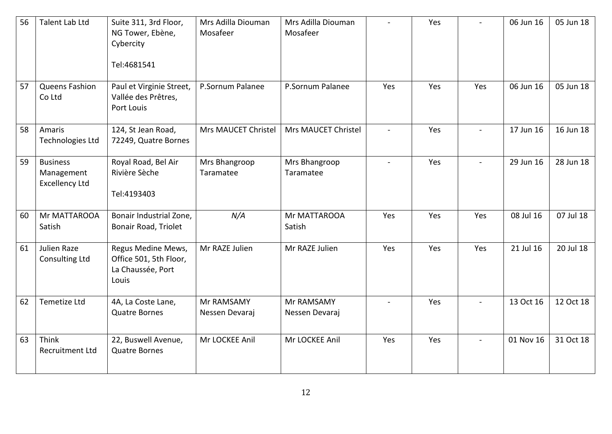| 56 | Talent Lab Ltd                                         | Suite 311, 3rd Floor,<br>NG Tower, Ebène,<br>Cybercity<br>Tel:4681541      | Mrs Adilla Diouman<br>Mosafeer | Mrs Adilla Diouman<br>Mosafeer |     | Yes |                | 06 Jun 16 | 05 Jun 18 |
|----|--------------------------------------------------------|----------------------------------------------------------------------------|--------------------------------|--------------------------------|-----|-----|----------------|-----------|-----------|
| 57 | Queens Fashion<br>Co Ltd                               | Paul et Virginie Street,<br>Vallée des Prêtres,<br>Port Louis              | P.Sornum Palanee               | P.Sornum Palanee               | Yes | Yes | Yes            | 06 Jun 16 | 05 Jun 18 |
| 58 | Amaris<br>Technologies Ltd                             | 124, St Jean Road,<br>72249, Quatre Bornes                                 | Mrs MAUCET Christel            | Mrs MAUCET Christel            |     | Yes |                | 17 Jun 16 | 16 Jun 18 |
| 59 | <b>Business</b><br>Management<br><b>Excellency Ltd</b> | Royal Road, Bel Air<br>Rivière Sèche<br>Tel:4193403                        | Mrs Bhangroop<br>Taramatee     | Mrs Bhangroop<br>Taramatee     |     | Yes | $\blacksquare$ | 29 Jun 16 | 28 Jun 18 |
| 60 | Mr MATTAROOA<br>Satish                                 | Bonair Industrial Zone,<br>Bonair Road, Triolet                            | N/A                            | Mr MATTAROOA<br>Satish         | Yes | Yes | Yes            | 08 Jul 16 | 07 Jul 18 |
| 61 | Julien Raze<br><b>Consulting Ltd</b>                   | Regus Medine Mews,<br>Office 501, 5th Floor,<br>La Chaussée, Port<br>Louis | Mr RAZE Julien                 | Mr RAZE Julien                 | Yes | Yes | Yes            | 21 Jul 16 | 20 Jul 18 |
| 62 | Temetize Ltd                                           | 4A, La Coste Lane,<br><b>Quatre Bornes</b>                                 | Mr RAMSAMY<br>Nessen Devaraj   | Mr RAMSAMY<br>Nessen Devaraj   |     | Yes |                | 13 Oct 16 | 12 Oct 18 |
| 63 | Think<br><b>Recruitment Ltd</b>                        | 22, Buswell Avenue,<br><b>Quatre Bornes</b>                                | Mr LOCKEE Anil                 | Mr LOCKEE Anil                 | Yes | Yes |                | 01 Nov 16 | 31 Oct 18 |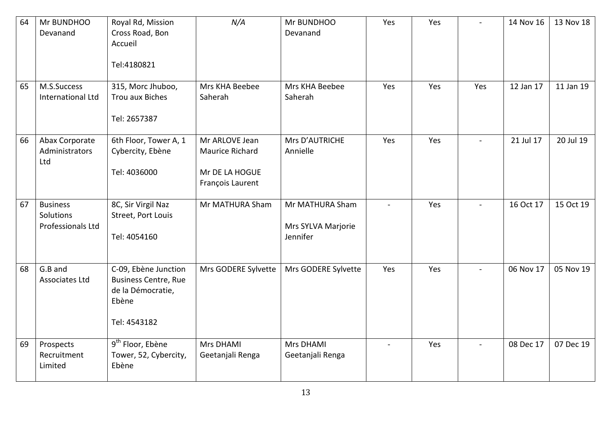| 64 | Mr BUNDHOO<br>Devanand                            | Royal Rd, Mission<br>Cross Road, Bon<br>Accueil<br>Tel:4180821                                    | N/A                                                                     | Mr BUNDHOO<br>Devanand                            | Yes | Yes |                | 14 Nov 16 | 13 Nov 18 |
|----|---------------------------------------------------|---------------------------------------------------------------------------------------------------|-------------------------------------------------------------------------|---------------------------------------------------|-----|-----|----------------|-----------|-----------|
| 65 | M.S.Success<br>International Ltd                  | 315, Morc Jhuboo,<br><b>Trou aux Biches</b><br>Tel: 2657387                                       | Mrs KHA Beebee<br>Saherah                                               | Mrs KHA Beebee<br>Saherah                         | Yes | Yes | Yes            | 12 Jan 17 | 11 Jan 19 |
| 66 | Abax Corporate<br>Administrators<br>Ltd           | 6th Floor, Tower A, 1<br>Cybercity, Ebène<br>Tel: 4036000                                         | Mr ARLOVE Jean<br>Maurice Richard<br>Mr DE LA HOGUE<br>François Laurent | Mrs D'AUTRICHE<br>Annielle                        | Yes | Yes | $\overline{a}$ | 21 Jul 17 | 20 Jul 19 |
| 67 | <b>Business</b><br>Solutions<br>Professionals Ltd | 8C, Sir Virgil Naz<br>Street, Port Louis<br>Tel: 4054160                                          | Mr MATHURA Sham                                                         | Mr MATHURA Sham<br>Mrs SYLVA Marjorie<br>Jennifer |     | Yes |                | 16 Oct 17 | 15 Oct 19 |
| 68 | G.B and<br><b>Associates Ltd</b>                  | C-09, Ebène Junction<br><b>Business Centre, Rue</b><br>de la Démocratie,<br>Ebène<br>Tel: 4543182 | Mrs GODERE Sylvette                                                     | Mrs GODERE Sylvette                               | Yes | Yes |                | 06 Nov 17 | 05 Nov 19 |
| 69 | Prospects<br>Recruitment<br>Limited               | 9 <sup>th</sup> Floor, Ebène<br>Tower, 52, Cybercity,<br>Ebène                                    | <b>Mrs DHAMI</b><br>Geetanjali Renga                                    | <b>Mrs DHAMI</b><br>Geetanjali Renga              |     | Yes |                | 08 Dec 17 | 07 Dec 19 |